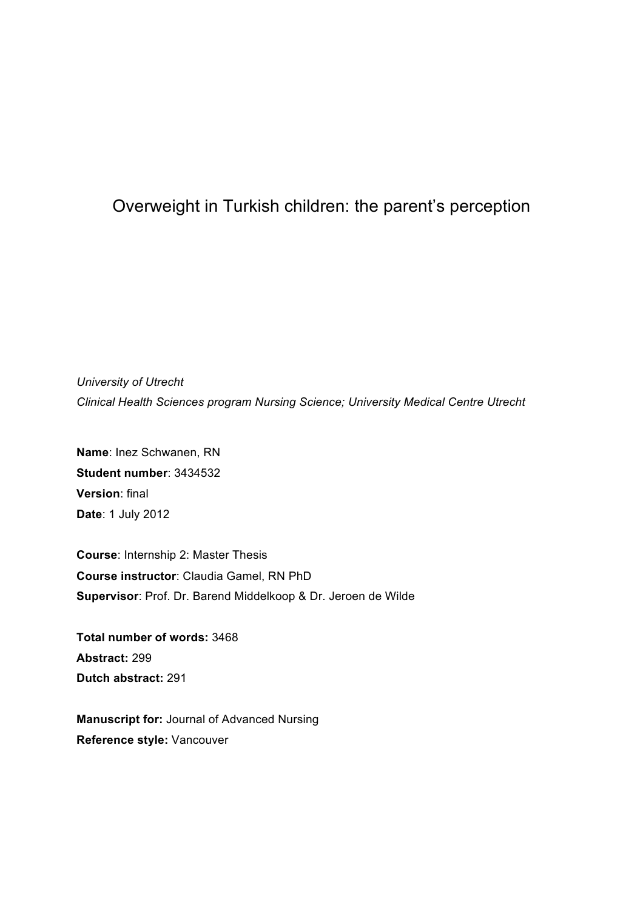# Overweight in Turkish children: the parent's perception

*University of Utrecht Clinical Health Sciences program Nursing Science; University Medical Centre Utrecht*

**Name**: Inez Schwanen, RN **Student number**: 3434532 **Version**: final **Date**: 1 July 2012

**Course**: Internship 2: Master Thesis **Course instructor**: Claudia Gamel, RN PhD **Supervisor**: Prof. Dr. Barend Middelkoop & Dr. Jeroen de Wilde

**Total number of words:** 3468 **Abstract:** 299 **Dutch abstract:** 291

**Manuscript for:** Journal of Advanced Nursing **Reference style:** Vancouver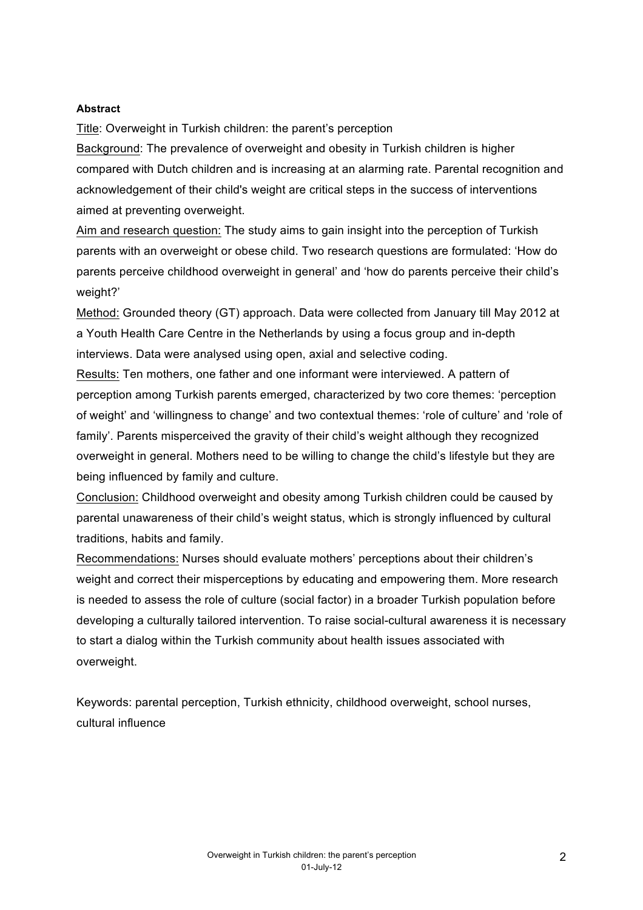#### **Abstract**

Title: Overweight in Turkish children: the parent's perception

Background: The prevalence of overweight and obesity in Turkish children is higher compared with Dutch children and is increasing at an alarming rate. Parental recognition and acknowledgement of their child's weight are critical steps in the success of interventions aimed at preventing overweight.

Aim and research question: The study aims to gain insight into the perception of Turkish parents with an overweight or obese child. Two research questions are formulated: 'How do parents perceive childhood overweight in general' and 'how do parents perceive their child's weight?'

Method: Grounded theory (GT) approach. Data were collected from January till May 2012 at a Youth Health Care Centre in the Netherlands by using a focus group and in-depth interviews. Data were analysed using open, axial and selective coding.

Results: Ten mothers, one father and one informant were interviewed. A pattern of perception among Turkish parents emerged, characterized by two core themes: 'perception of weight' and 'willingness to change' and two contextual themes: 'role of culture' and 'role of family'. Parents misperceived the gravity of their child's weight although they recognized overweight in general. Mothers need to be willing to change the child's lifestyle but they are being influenced by family and culture.

Conclusion: Childhood overweight and obesity among Turkish children could be caused by parental unawareness of their child's weight status, which is strongly influenced by cultural traditions, habits and family.

Recommendations: Nurses should evaluate mothers' perceptions about their children's weight and correct their misperceptions by educating and empowering them. More research is needed to assess the role of culture (social factor) in a broader Turkish population before developing a culturally tailored intervention. To raise social-cultural awareness it is necessary to start a dialog within the Turkish community about health issues associated with overweight.

Keywords: parental perception, Turkish ethnicity, childhood overweight, school nurses, cultural influence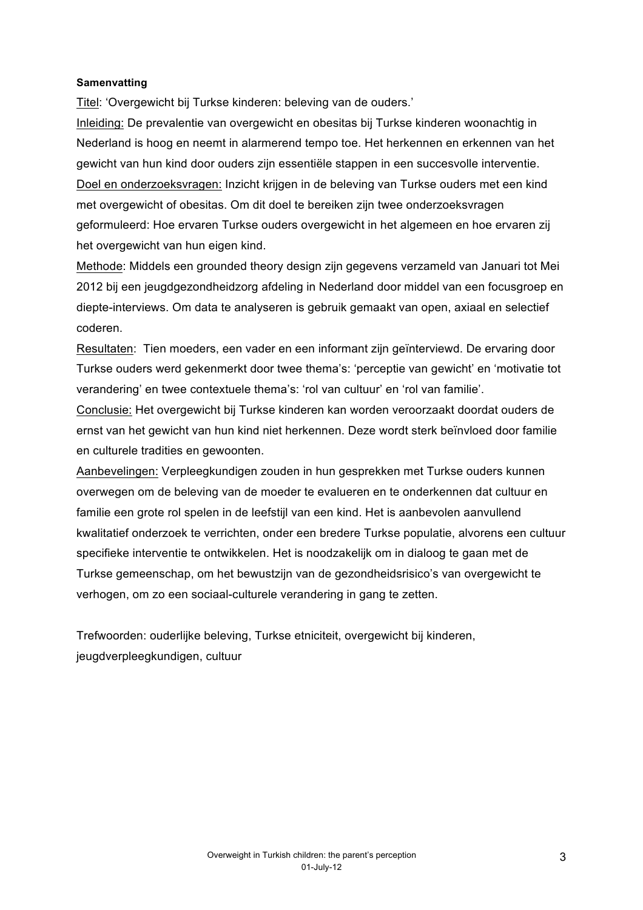#### **Samenvatting**

Titel: 'Overgewicht bij Turkse kinderen: beleving van de ouders.'

Inleiding: De prevalentie van overgewicht en obesitas bij Turkse kinderen woonachtig in Nederland is hoog en neemt in alarmerend tempo toe. Het herkennen en erkennen van het gewicht van hun kind door ouders zijn essentiële stappen in een succesvolle interventie. Doel en onderzoeksvragen: Inzicht krijgen in de beleving van Turkse ouders met een kind met overgewicht of obesitas. Om dit doel te bereiken zijn twee onderzoeksvragen geformuleerd: Hoe ervaren Turkse ouders overgewicht in het algemeen en hoe ervaren zij het overgewicht van hun eigen kind.

Methode: Middels een grounded theory design zijn gegevens verzameld van Januari tot Mei 2012 bij een jeugdgezondheidzorg afdeling in Nederland door middel van een focusgroep en diepte-interviews. Om data te analyseren is gebruik gemaakt van open, axiaal en selectief coderen.

Resultaten: Tien moeders, een vader en een informant zijn geïnterviewd. De ervaring door Turkse ouders werd gekenmerkt door twee thema's: 'perceptie van gewicht' en 'motivatie tot verandering' en twee contextuele thema's: 'rol van cultuur' en 'rol van familie'.

Conclusie: Het overgewicht bij Turkse kinderen kan worden veroorzaakt doordat ouders de ernst van het gewicht van hun kind niet herkennen. Deze wordt sterk beïnvloed door familie en culturele tradities en gewoonten.

Aanbevelingen: Verpleegkundigen zouden in hun gesprekken met Turkse ouders kunnen overwegen om de beleving van de moeder te evalueren en te onderkennen dat cultuur en familie een grote rol spelen in de leefstijl van een kind. Het is aanbevolen aanvullend kwalitatief onderzoek te verrichten, onder een bredere Turkse populatie, alvorens een cultuur specifieke interventie te ontwikkelen. Het is noodzakelijk om in dialoog te gaan met de Turkse gemeenschap, om het bewustzijn van de gezondheidsrisico's van overgewicht te verhogen, om zo een sociaal-culturele verandering in gang te zetten.

Trefwoorden: ouderlijke beleving, Turkse etniciteit, overgewicht bij kinderen, jeugdverpleegkundigen, cultuur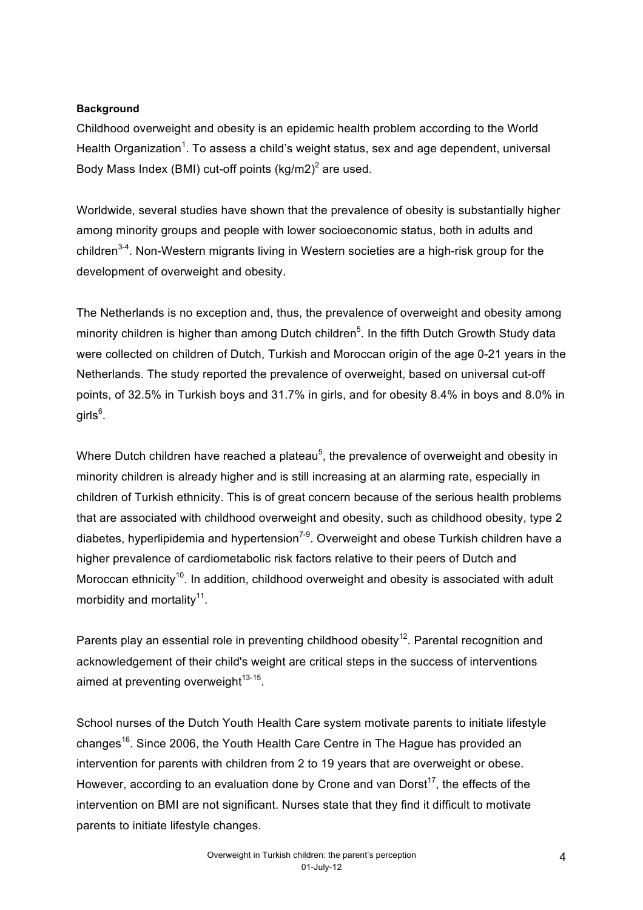#### **Background**

Childhood overweight and obesity is an epidemic health problem according to the World Health Organization<sup>1</sup>. To assess a child's weight status, sex and age dependent, universal Body Mass Index (BMI) cut-off points  $(kq/m2)^2$  are used.

Worldwide, several studies have shown that the prevalence of obesity is substantially higher among minority groups and people with lower socioeconomic status, both in adults and children<sup>3-4</sup>. Non-Western migrants living in Western societies are a high-risk group for the development of overweight and obesity.

The Netherlands is no exception and, thus, the prevalence of overweight and obesity among minority children is higher than among Dutch children<sup>5</sup>. In the fifth Dutch Growth Study data were collected on children of Dutch, Turkish and Moroccan origin of the age 0-21 years in the Netherlands. The study reported the prevalence of overweight, based on universal cut-off points, of 32.5% in Turkish boys and 31.7% in girls, and for obesity 8.4% in boys and 8.0% in girl $\mathsf{s}^6$ .

Where Dutch children have reached a plateau<sup>5</sup>, the prevalence of overweight and obesity in minority children is already higher and is still increasing at an alarming rate, especially in children of Turkish ethnicity. This is of great concern because of the serious health problems that are associated with childhood overweight and obesity, such as childhood obesity, type 2 diabetes, hyperlipidemia and hypertension<sup>7-9</sup>. Overweight and obese Turkish children have a higher prevalence of cardiometabolic risk factors relative to their peers of Dutch and Moroccan ethnicity<sup>10</sup>. In addition, childhood overweight and obesity is associated with adult morbidity and mortality<sup>11</sup>.

Parents play an essential role in preventing childhood obesity<sup>12</sup>. Parental recognition and acknowledgement of their child's weight are critical steps in the success of interventions aimed at preventing overweight<sup>13-15</sup>.

School nurses of the Dutch Youth Health Care system motivate parents to initiate lifestyle changes<sup>16</sup>. Since 2006, the Youth Health Care Centre in The Hague has provided an intervention for parents with children from 2 to 19 years that are overweight or obese. However, according to an evaluation done by Crone and van Dorst<sup>17</sup>, the effects of the intervention on BMI are not significant. Nurses state that they find it difficult to motivate parents to initiate lifestyle changes.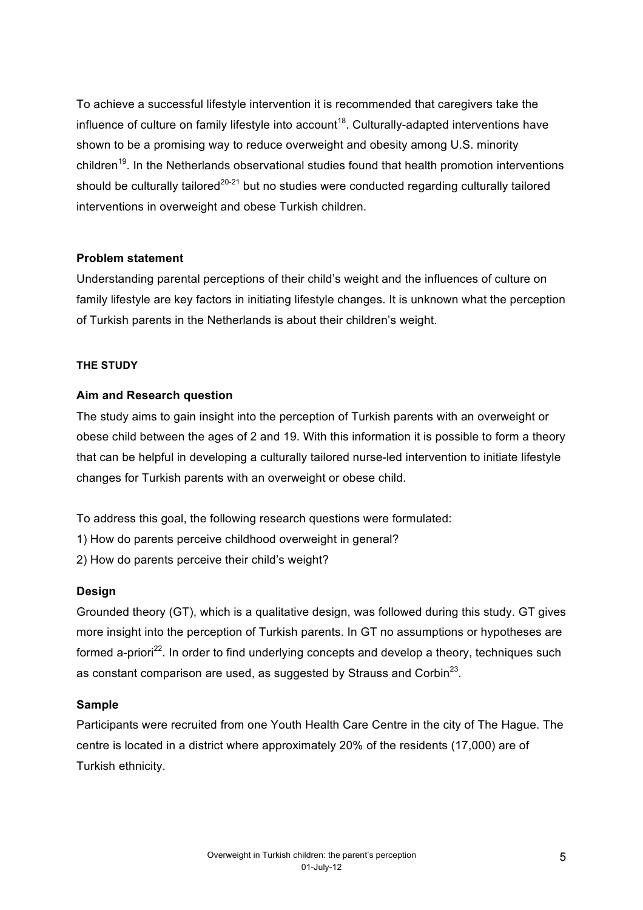To achieve a successful lifestyle intervention it is recommended that caregivers take the influence of culture on family lifestyle into account<sup>18</sup>. Culturally-adapted interventions have shown to be a promising way to reduce overweight and obesity among U.S. minority children<sup>19</sup>. In the Netherlands observational studies found that health promotion interventions should be culturally tailored $20-21$  but no studies were conducted regarding culturally tailored interventions in overweight and obese Turkish children.

#### **Problem statement**

Understanding parental perceptions of their child's weight and the influences of culture on family lifestyle are key factors in initiating lifestyle changes. It is unknown what the perception of Turkish parents in the Netherlands is about their children's weight.

# **THE STUDY**

# **Aim and Research question**

The study aims to gain insight into the perception of Turkish parents with an overweight or obese child between the ages of 2 and 19. With this information it is possible to form a theory that can be helpful in developing a culturally tailored nurse-led intervention to initiate lifestyle changes for Turkish parents with an overweight or obese child.

To address this goal, the following research questions were formulated:

- 1) How do parents perceive childhood overweight in general?
- 2) How do parents perceive their child's weight?

# **Design**

Grounded theory (GT), which is a qualitative design, was followed during this study. GT gives more insight into the perception of Turkish parents. In GT no assumptions or hypotheses are formed a-priori<sup>22</sup>. In order to find underlying concepts and develop a theory, techniques such as constant comparison are used, as suggested by Strauss and Corbin<sup>23</sup>.

#### **Sample**

Participants were recruited from one Youth Health Care Centre in the city of The Hague. The centre is located in a district where approximately 20% of the residents (17,000) are of Turkish ethnicity.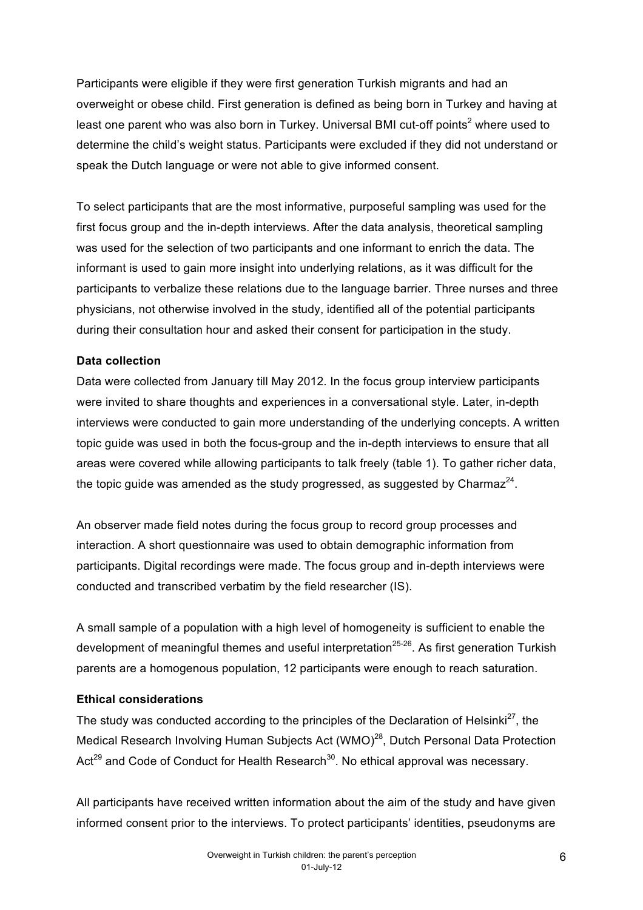Participants were eligible if they were first generation Turkish migrants and had an overweight or obese child. First generation is defined as being born in Turkey and having at least one parent who was also born in Turkey. Universal BMI cut-off points<sup>2</sup> where used to determine the child's weight status. Participants were excluded if they did not understand or speak the Dutch language or were not able to give informed consent.

To select participants that are the most informative, purposeful sampling was used for the first focus group and the in-depth interviews. After the data analysis, theoretical sampling was used for the selection of two participants and one informant to enrich the data. The informant is used to gain more insight into underlying relations, as it was difficult for the participants to verbalize these relations due to the language barrier. Three nurses and three physicians, not otherwise involved in the study, identified all of the potential participants during their consultation hour and asked their consent for participation in the study.

# **Data collection**

Data were collected from January till May 2012. In the focus group interview participants were invited to share thoughts and experiences in a conversational style. Later, in-depth interviews were conducted to gain more understanding of the underlying concepts. A written topic guide was used in both the focus-group and the in-depth interviews to ensure that all areas were covered while allowing participants to talk freely (table 1). To gather richer data, the topic guide was amended as the study progressed, as suggested by Charmaz<sup>24</sup>.

An observer made field notes during the focus group to record group processes and interaction. A short questionnaire was used to obtain demographic information from participants. Digital recordings were made. The focus group and in-depth interviews were conducted and transcribed verbatim by the field researcher (IS).

A small sample of a population with a high level of homogeneity is sufficient to enable the development of meaningful themes and useful interpretation<sup>25-26</sup>. As first generation Turkish parents are a homogenous population, 12 participants were enough to reach saturation.

# **Ethical considerations**

The study was conducted according to the principles of the Declaration of Helsinki $^{27}$ , the Medical Research Involving Human Subjects Act (WMO)<sup>28</sup>, Dutch Personal Data Protection Act<sup>29</sup> and Code of Conduct for Health Research<sup>30</sup>. No ethical approval was necessary.

All participants have received written information about the aim of the study and have given informed consent prior to the interviews. To protect participants' identities, pseudonyms are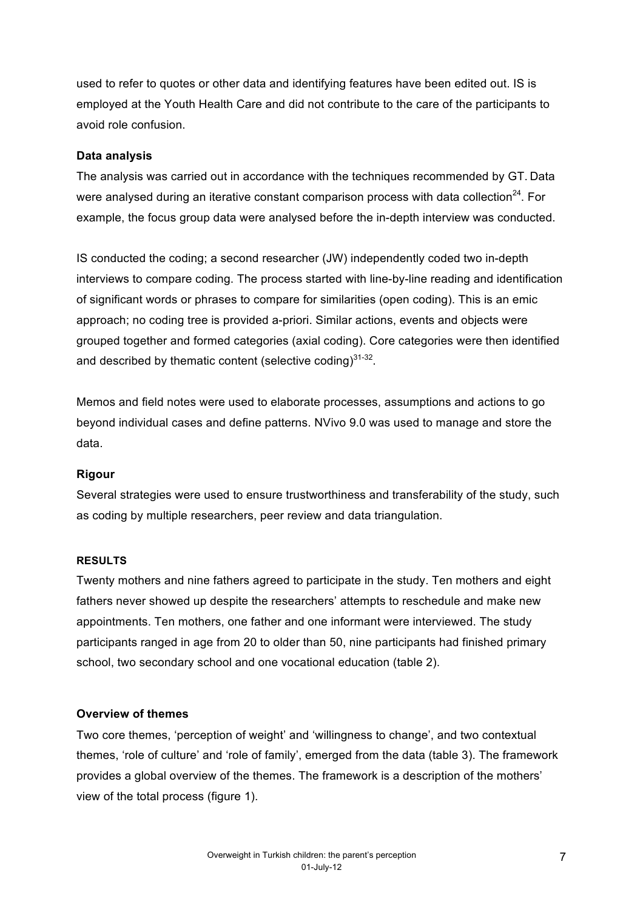used to refer to quotes or other data and identifying features have been edited out. IS is employed at the Youth Health Care and did not contribute to the care of the participants to avoid role confusion.

# **Data analysis**

The analysis was carried out in accordance with the techniques recommended by GT. Data were analysed during an iterative constant comparison process with data collection<sup>24</sup>. For example, the focus group data were analysed before the in-depth interview was conducted.

IS conducted the coding; a second researcher (JW) independently coded two in-depth interviews to compare coding. The process started with line-by-line reading and identification of significant words or phrases to compare for similarities (open coding). This is an emic approach; no coding tree is provided a-priori. Similar actions, events and objects were grouped together and formed categories (axial coding). Core categories were then identified and described by thematic content (selective coding) $31-32$ .

Memos and field notes were used to elaborate processes, assumptions and actions to go beyond individual cases and define patterns. NVivo 9.0 was used to manage and store the data.

#### **Rigour**

Several strategies were used to ensure trustworthiness and transferability of the study, such as coding by multiple researchers, peer review and data triangulation.

#### **RESULTS**

Twenty mothers and nine fathers agreed to participate in the study. Ten mothers and eight fathers never showed up despite the researchers' attempts to reschedule and make new appointments. Ten mothers, one father and one informant were interviewed. The study participants ranged in age from 20 to older than 50, nine participants had finished primary school, two secondary school and one vocational education (table 2).

#### **Overview of themes**

Two core themes, 'perception of weight' and 'willingness to change', and two contextual themes, 'role of culture' and 'role of family', emerged from the data (table 3). The framework provides a global overview of the themes. The framework is a description of the mothers' view of the total process (figure 1).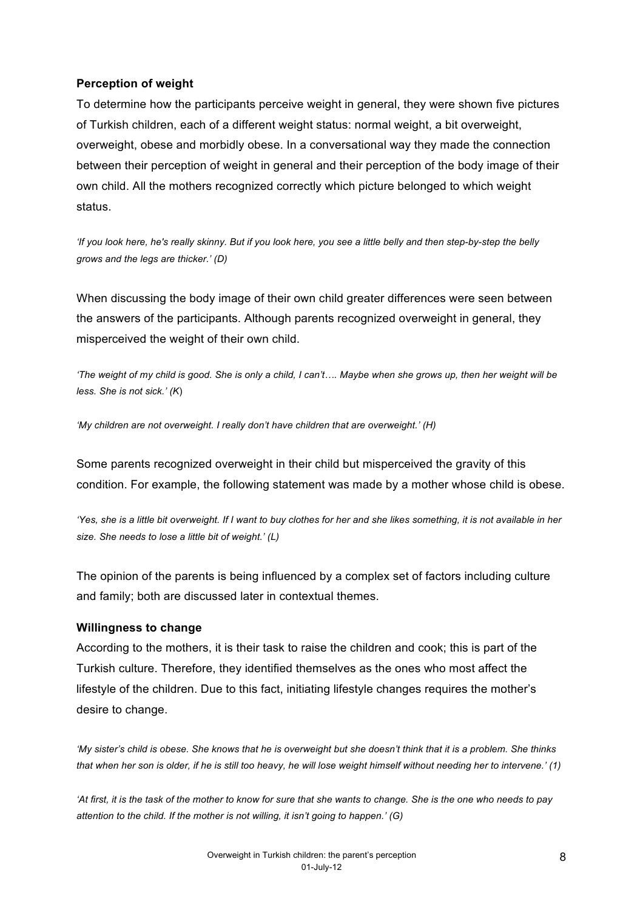# **Perception of weight**

To determine how the participants perceive weight in general, they were shown five pictures of Turkish children, each of a different weight status: normal weight, a bit overweight, overweight, obese and morbidly obese. In a conversational way they made the connection between their perception of weight in general and their perception of the body image of their own child. All the mothers recognized correctly which picture belonged to which weight status.

*'If you look here, he's really skinny. But if you look here, you see a little belly and then step-by-step the belly grows and the legs are thicker.' (D)*

When discussing the body image of their own child greater differences were seen between the answers of the participants. Although parents recognized overweight in general, they misperceived the weight of their own child.

*'The weight of my child is good. She is only a child, I can't…. Maybe when she grows up, then her weight will be less. She is not sick.' (K*)

*'My children are not overweight. I really don't have children that are overweight.' (H)* 

Some parents recognized overweight in their child but misperceived the gravity of this condition. For example, the following statement was made by a mother whose child is obese.

*'Yes, she is a little bit overweight. If I want to buy clothes for her and she likes something, it is not available in her size. She needs to lose a little bit of weight.' (L)*

The opinion of the parents is being influenced by a complex set of factors including culture and family; both are discussed later in contextual themes.

#### **Willingness to change**

According to the mothers, it is their task to raise the children and cook; this is part of the Turkish culture. Therefore, they identified themselves as the ones who most affect the lifestyle of the children. Due to this fact, initiating lifestyle changes requires the mother's desire to change.

*'My sister's child is obese. She knows that he is overweight but she doesn't think that it is a problem. She thinks that when her son is older, if he is still too heavy, he will lose weight himself without needing her to intervene.' (1)*

*'At first, it is the task of the mother to know for sure that she wants to change. She is the one who needs to pay attention to the child. If the mother is not willing, it isn't going to happen.' (G)*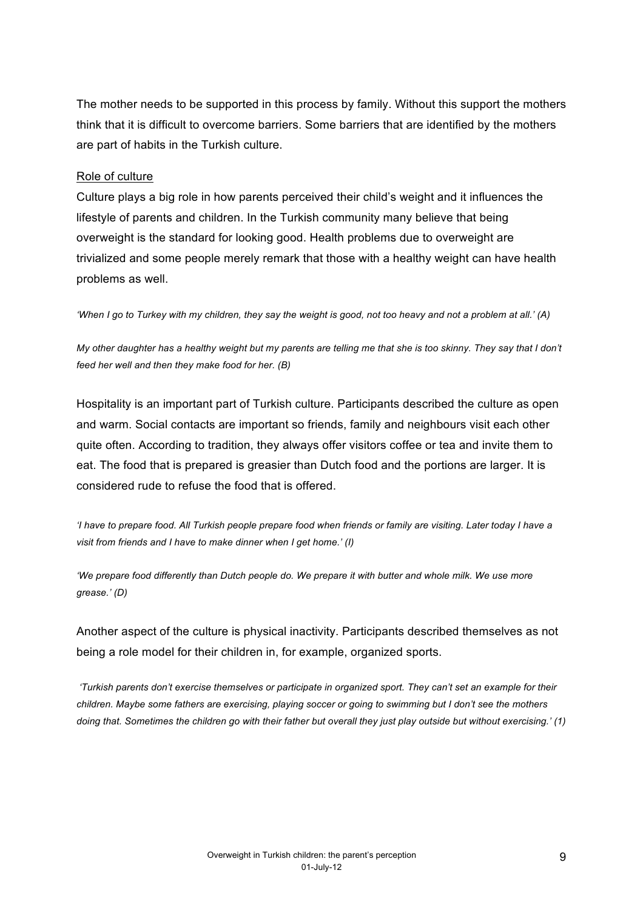The mother needs to be supported in this process by family. Without this support the mothers think that it is difficult to overcome barriers. Some barriers that are identified by the mothers are part of habits in the Turkish culture.

#### Role of culture

Culture plays a big role in how parents perceived their child's weight and it influences the lifestyle of parents and children. In the Turkish community many believe that being overweight is the standard for looking good. Health problems due to overweight are trivialized and some people merely remark that those with a healthy weight can have health problems as well.

*'When I go to Turkey with my children, they say the weight is good, not too heavy and not a problem at all.' (A)*

*My other daughter has a healthy weight but my parents are telling me that she is too skinny. They say that I don't feed her well and then they make food for her. (B)*

Hospitality is an important part of Turkish culture. Participants described the culture as open and warm. Social contacts are important so friends, family and neighbours visit each other quite often. According to tradition, they always offer visitors coffee or tea and invite them to eat. The food that is prepared is greasier than Dutch food and the portions are larger. It is considered rude to refuse the food that is offered.

*'I have to prepare food. All Turkish people prepare food when friends or family are visiting. Later today I have a visit from friends and I have to make dinner when I get home.' (I)*

*'We prepare food differently than Dutch people do. We prepare it with butter and whole milk. We use more grease.' (D)*

Another aspect of the culture is physical inactivity. Participants described themselves as not being a role model for their children in, for example, organized sports.

*'Turkish parents don't exercise themselves or participate in organized sport. They can't set an example for their children. Maybe some fathers are exercising, playing soccer or going to swimming but I don't see the mothers doing that. Sometimes the children go with their father but overall they just play outside but without exercising.' (1)*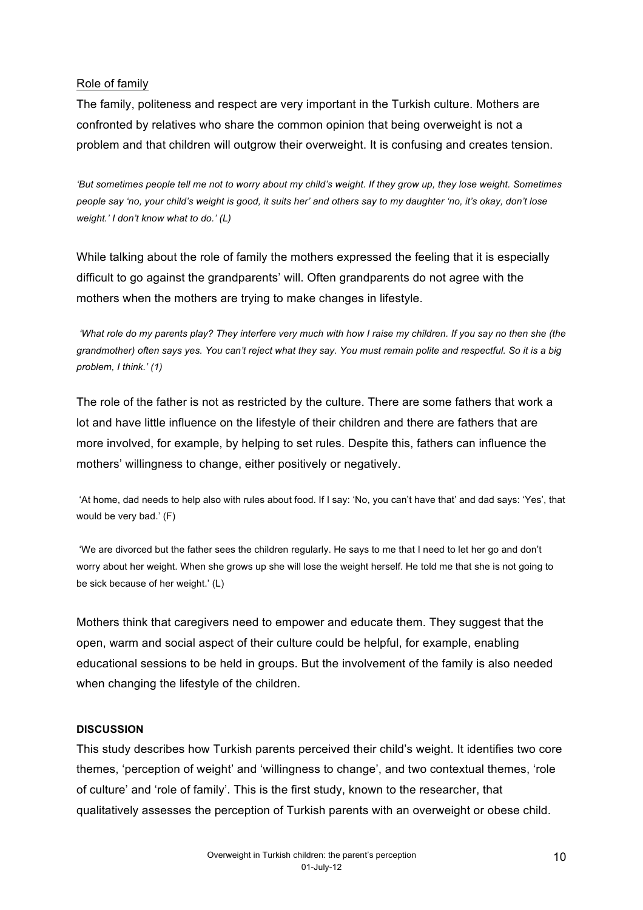#### Role of family

The family, politeness and respect are very important in the Turkish culture. Mothers are confronted by relatives who share the common opinion that being overweight is not a problem and that children will outgrow their overweight. It is confusing and creates tension.

*'But sometimes people tell me not to worry about my child's weight. If they grow up, they lose weight. Sometimes people say 'no, your child's weight is good, it suits her' and others say to my daughter 'no, it's okay, don't lose weight.' I don't know what to do.' (L)*

While talking about the role of family the mothers expressed the feeling that it is especially difficult to go against the grandparents' will. Often grandparents do not agree with the mothers when the mothers are trying to make changes in lifestyle.

'What role do my parents play? They interfere very much with how I raise my children. If you say no then she (the *grandmother) often says yes. You can't reject what they say. You must remain polite and respectful. So it is a big problem, I think.' (1)*

The role of the father is not as restricted by the culture. There are some fathers that work a lot and have little influence on the lifestyle of their children and there are fathers that are more involved, for example, by helping to set rules. Despite this, fathers can influence the mothers' willingness to change, either positively or negatively.

'At home, dad needs to help also with rules about food. If I say: 'No, you can't have that' and dad says: 'Yes', that would be very bad.' (F)

'We are divorced but the father sees the children regularly. He says to me that I need to let her go and don't worry about her weight. When she grows up she will lose the weight herself. He told me that she is not going to be sick because of her weight.' (L)

Mothers think that caregivers need to empower and educate them. They suggest that the open, warm and social aspect of their culture could be helpful, for example, enabling educational sessions to be held in groups. But the involvement of the family is also needed when changing the lifestyle of the children.

#### **DISCUSSION**

This study describes how Turkish parents perceived their child's weight. It identifies two core themes, 'perception of weight' and 'willingness to change', and two contextual themes, 'role of culture' and 'role of family'. This is the first study, known to the researcher, that qualitatively assesses the perception of Turkish parents with an overweight or obese child.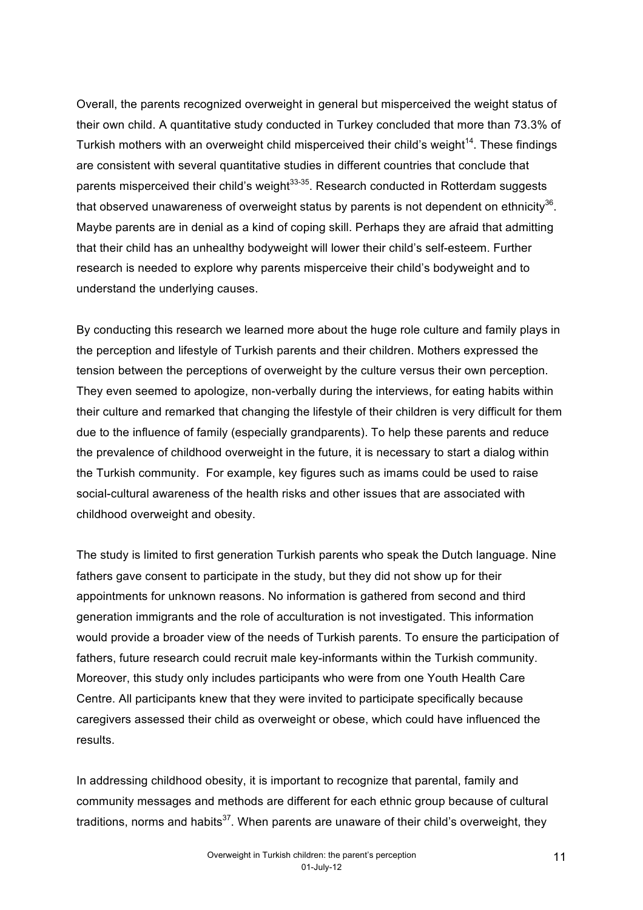Overall, the parents recognized overweight in general but misperceived the weight status of their own child. A quantitative study conducted in Turkey concluded that more than 73.3% of Turkish mothers with an overweight child misperceived their child's weight $^{14}$ . These findings are consistent with several quantitative studies in different countries that conclude that parents misperceived their child's weight<sup>33-35</sup>. Research conducted in Rotterdam suggests that observed unawareness of overweight status by parents is not dependent on ethnicity $^{36}$ . Maybe parents are in denial as a kind of coping skill. Perhaps they are afraid that admitting that their child has an unhealthy bodyweight will lower their child's self-esteem. Further research is needed to explore why parents misperceive their child's bodyweight and to understand the underlying causes.

By conducting this research we learned more about the huge role culture and family plays in the perception and lifestyle of Turkish parents and their children. Mothers expressed the tension between the perceptions of overweight by the culture versus their own perception. They even seemed to apologize, non-verbally during the interviews, for eating habits within their culture and remarked that changing the lifestyle of their children is very difficult for them due to the influence of family (especially grandparents). To help these parents and reduce the prevalence of childhood overweight in the future, it is necessary to start a dialog within the Turkish community. For example, key figures such as imams could be used to raise social-cultural awareness of the health risks and other issues that are associated with childhood overweight and obesity.

The study is limited to first generation Turkish parents who speak the Dutch language. Nine fathers gave consent to participate in the study, but they did not show up for their appointments for unknown reasons. No information is gathered from second and third generation immigrants and the role of acculturation is not investigated. This information would provide a broader view of the needs of Turkish parents. To ensure the participation of fathers, future research could recruit male key-informants within the Turkish community. Moreover, this study only includes participants who were from one Youth Health Care Centre. All participants knew that they were invited to participate specifically because caregivers assessed their child as overweight or obese, which could have influenced the results.

In addressing childhood obesity, it is important to recognize that parental, family and community messages and methods are different for each ethnic group because of cultural traditions, norms and habits<sup>37</sup>. When parents are unaware of their child's overweight, they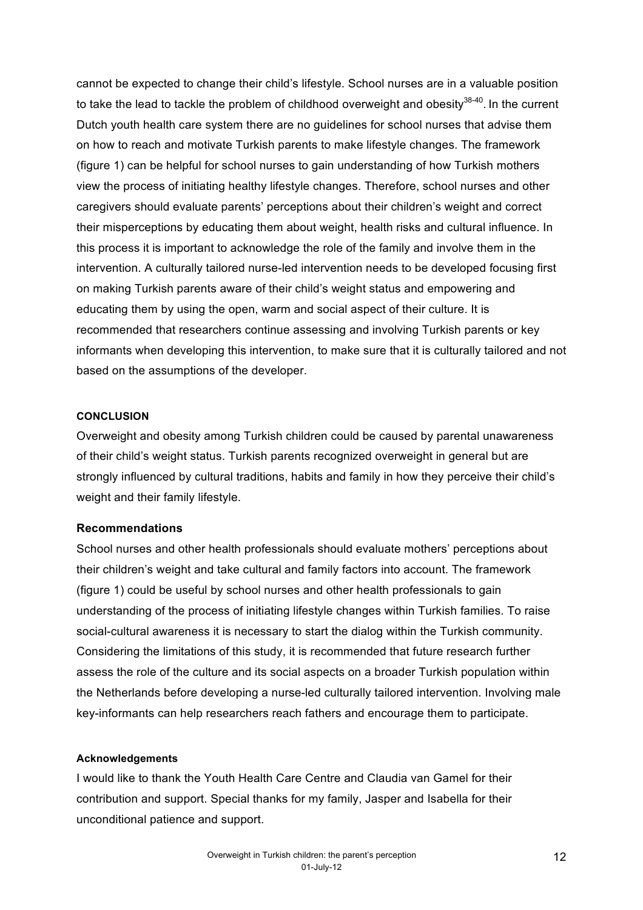cannot be expected to change their child's lifestyle. School nurses are in a valuable position to take the lead to tackle the problem of childhood overweight and obesity<sup>38-40</sup>. In the current Dutch youth health care system there are no guidelines for school nurses that advise them on how to reach and motivate Turkish parents to make lifestyle changes. The framework (figure 1) can be helpful for school nurses to gain understanding of how Turkish mothers view the process of initiating healthy lifestyle changes. Therefore, school nurses and other caregivers should evaluate parents' perceptions about their children's weight and correct their misperceptions by educating them about weight, health risks and cultural influence. In this process it is important to acknowledge the role of the family and involve them in the intervention. A culturally tailored nurse-led intervention needs to be developed focusing first on making Turkish parents aware of their child's weight status and empowering and educating them by using the open, warm and social aspect of their culture. It is recommended that researchers continue assessing and involving Turkish parents or key informants when developing this intervention, to make sure that it is culturally tailored and not based on the assumptions of the developer.

#### **CONCLUSION**

Overweight and obesity among Turkish children could be caused by parental unawareness of their child's weight status. Turkish parents recognized overweight in general but are strongly influenced by cultural traditions, habits and family in how they perceive their child's weight and their family lifestyle.

#### **Recommendations**

School nurses and other health professionals should evaluate mothers' perceptions about their children's weight and take cultural and family factors into account. The framework (figure 1) could be useful by school nurses and other health professionals to gain understanding of the process of initiating lifestyle changes within Turkish families. To raise social-cultural awareness it is necessary to start the dialog within the Turkish community. Considering the limitations of this study, it is recommended that future research further assess the role of the culture and its social aspects on a broader Turkish population within the Netherlands before developing a nurse-led culturally tailored intervention. Involving male key-informants can help researchers reach fathers and encourage them to participate.

#### **Acknowledgements**

I would like to thank the Youth Health Care Centre and Claudia van Gamel for their contribution and support. Special thanks for my family, Jasper and Isabella for their unconditional patience and support.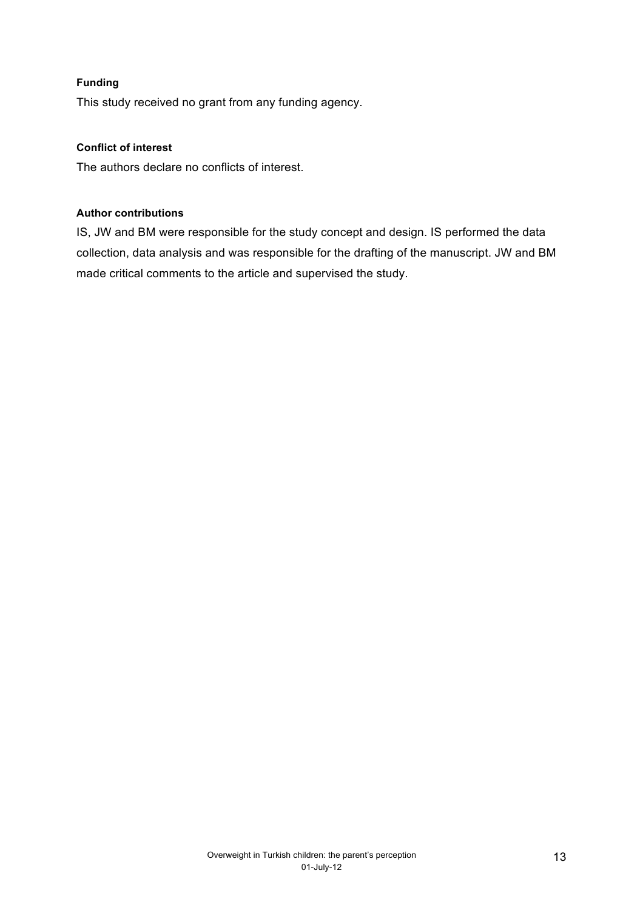# **Funding**

This study received no grant from any funding agency.

# **Conflict of interest**

The authors declare no conflicts of interest.

#### **Author contributions**

IS, JW and BM were responsible for the study concept and design. IS performed the data collection, data analysis and was responsible for the drafting of the manuscript. JW and BM made critical comments to the article and supervised the study.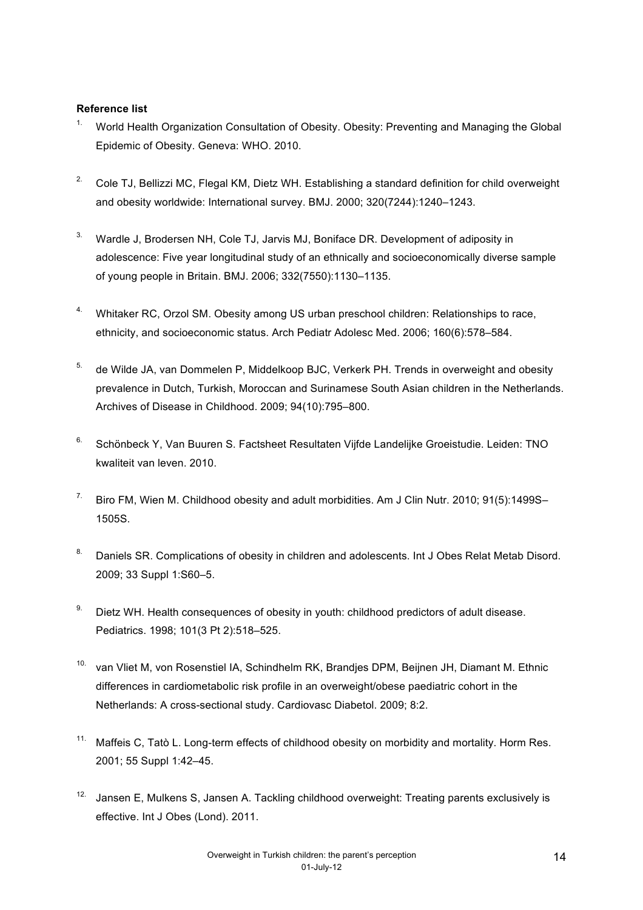#### **Reference list**

- <sup>1.</sup> World Health Organization Consultation of Obesity. Obesity: Preventing and Managing the Global Epidemic of Obesity. Geneva: WHO. 2010.
- <sup>2.</sup> Cole TJ, Bellizzi MC, Flegal KM, Dietz WH. Establishing a standard definition for child overweight and obesity worldwide: International survey. BMJ. 2000; 320(7244):1240–1243.
- <sup>3.</sup> Wardle J, Brodersen NH, Cole TJ, Jarvis MJ, Boniface DR. Development of adiposity in adolescence: Five year longitudinal study of an ethnically and socioeconomically diverse sample of young people in Britain. BMJ. 2006; 332(7550):1130–1135.
- 4. Whitaker RC, Orzol SM. Obesity among US urban preschool children: Relationships to race, ethnicity, and socioeconomic status. Arch Pediatr Adolesc Med. 2006; 160(6):578–584.
- $5.$  de Wilde JA, van Dommelen P, Middelkoop BJC, Verkerk PH. Trends in overweight and obesity prevalence in Dutch, Turkish, Moroccan and Surinamese South Asian children in the Netherlands. Archives of Disease in Childhood. 2009; 94(10):795–800.
- 6. Schönbeck Y, Van Buuren S. Factsheet Resultaten Vijfde Landelijke Groeistudie. Leiden: TNO kwaliteit van leven. 2010.
- <sup>7.</sup> Biro FM, Wien M. Childhood obesity and adult morbidities. Am J Clin Nutr. 2010; 91(5):1499S-1505S.
- 8. Daniels SR. Complications of obesity in children and adolescents. Int J Obes Relat Metab Disord. 2009; 33 Suppl 1:S60–5.
- $9.$  Dietz WH. Health consequences of obesity in youth: childhood predictors of adult disease. Pediatrics. 1998; 101(3 Pt 2):518–525.
- <sup>10.</sup> van Vliet M, von Rosenstiel IA, Schindhelm RK, Brandjes DPM, Beijnen JH, Diamant M. Ethnic differences in cardiometabolic risk profile in an overweight/obese paediatric cohort in the Netherlands: A cross-sectional study. Cardiovasc Diabetol. 2009; 8:2.
- <sup>11.</sup> Maffeis C, Tatò L. Long-term effects of childhood obesity on morbidity and mortality. Horm Res. 2001; 55 Suppl 1:42–45.
- 12. Jansen E, Mulkens S, Jansen A. Tackling childhood overweight: Treating parents exclusively is effective. Int J Obes (Lond). 2011.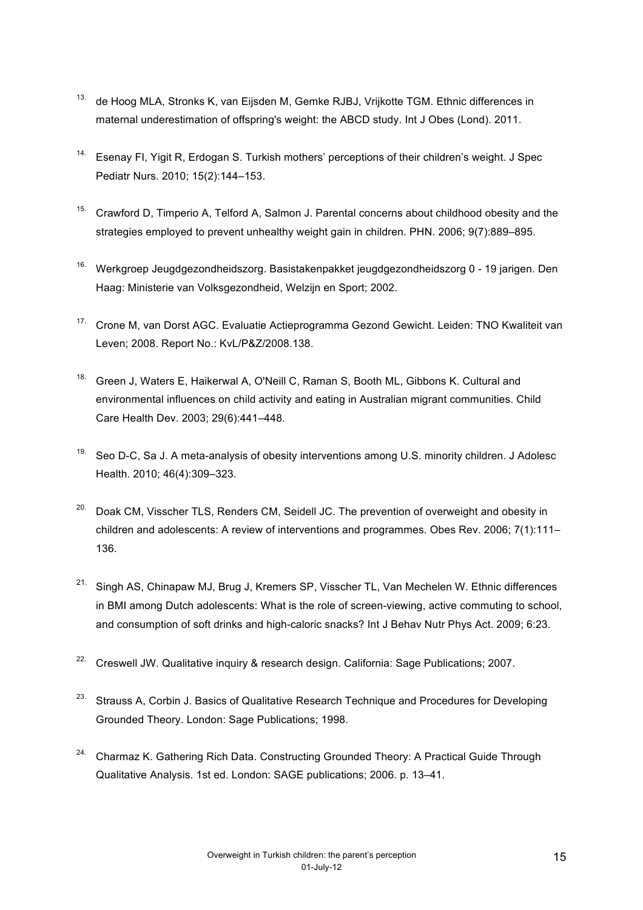- <sup>13.</sup> de Hoog MLA, Stronks K, van Eijsden M, Gemke RJBJ, Vrijkotte TGM. Ethnic differences in maternal underestimation of offspring's weight: the ABCD study. Int J Obes (Lond). 2011.
- <sup>14.</sup> Esenay FI, Yigit R, Erdogan S. Turkish mothers' perceptions of their children's weight. J Spec Pediatr Nurs. 2010; 15(2):144–153.
- <sup>15.</sup> Crawford D, Timperio A, Telford A, Salmon J. Parental concerns about childhood obesity and the strategies employed to prevent unhealthy weight gain in children. PHN. 2006; 9(7):889–895.
- 16. Werkgroep Jeugdgezondheidszorg. Basistakenpakket jeugdgezondheidszorg 0 19 jarigen. Den Haag: Ministerie van Volksgezondheid, Welzijn en Sport; 2002.
- <sup>17.</sup> Crone M, van Dorst AGC. Evaluatie Actieprogramma Gezond Gewicht. Leiden: TNO Kwaliteit van Leven; 2008. Report No.: KvL/P&Z/2008.138.
- 18. Green J, Waters E, Haikerwal A, O'Neill C, Raman S, Booth ML, Gibbons K. Cultural and environmental influences on child activity and eating in Australian migrant communities. Child Care Health Dev. 2003; 29(6):441–448.
- 19. Seo D-C, Sa J. A meta-analysis of obesity interventions among U.S. minority children. J Adolesc Health. 2010; 46(4):309–323.
- <sup>20.</sup> Doak CM, Visscher TLS, Renders CM, Seidell JC. The prevention of overweight and obesity in children and adolescents: A review of interventions and programmes. Obes Rev. 2006; 7(1):111– 136.
- <sup>21.</sup> Singh AS, Chinapaw MJ, Brug J, Kremers SP, Visscher TL, Van Mechelen W. Ethnic differences in BMI among Dutch adolescents: What is the role of screen-viewing, active commuting to school, and consumption of soft drinks and high-caloric snacks? Int J Behav Nutr Phys Act. 2009; 6:23.
- <sup>22.</sup> Creswell JW. Qualitative inquiry & research design. California: Sage Publications; 2007.
- <sup>23.</sup> Strauss A. Corbin J. Basics of Qualitative Research Technique and Procedures for Developing Grounded Theory. London: Sage Publications; 1998.
- 24. Charmaz K. Gathering Rich Data. Constructing Grounded Theory: A Practical Guide Through Qualitative Analysis. 1st ed. London: SAGE publications; 2006. p. 13–41.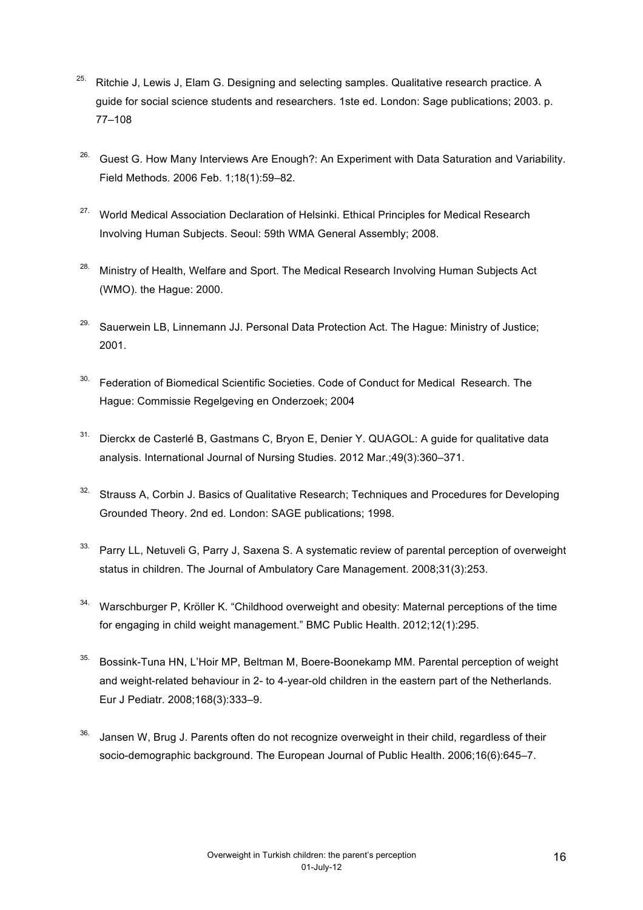- <sup>25.</sup> Ritchie J, Lewis J, Elam G. Designing and selecting samples. Qualitative research practice. A guide for social science students and researchers. 1ste ed. London: Sage publications; 2003. p. 77–108
- <sup>26.</sup> Guest G. How Many Interviews Are Enough?: An Experiment with Data Saturation and Variability. Field Methods. 2006 Feb. 1;18(1):59–82.
- <sup>27.</sup> World Medical Association Declaration of Helsinki. Ethical Principles for Medical Research Involving Human Subjects. Seoul: 59th WMA General Assembly; 2008.
- <sup>28.</sup> Ministry of Health, Welfare and Sport. The Medical Research Involving Human Subjects Act (WMO). the Hague: 2000.
- <sup>29.</sup> Sauerwein LB, Linnemann JJ. Personal Data Protection Act. The Hague: Ministry of Justice; 2001.
- <sup>30.</sup> Federation of Biomedical Scientific Societies. Code of Conduct for Medical Research. The Hague: Commissie Regelgeving en Onderzoek; 2004
- <sup>31.</sup> Dierckx de Casterlé B, Gastmans C, Bryon E, Denier Y. QUAGOL: A guide for qualitative data analysis. International Journal of Nursing Studies. 2012 Mar.;49(3):360–371.
- <sup>32.</sup> Strauss A, Corbin J. Basics of Qualitative Research; Techniques and Procedures for Developing Grounded Theory. 2nd ed. London: SAGE publications; 1998.
- 33. Parry LL, Netuveli G, Parry J, Saxena S. A systematic review of parental perception of overweight status in children. The Journal of Ambulatory Care Management. 2008;31(3):253.
- <sup>34.</sup> Warschburger P, Kröller K. "Childhood overweight and obesity: Maternal perceptions of the time for engaging in child weight management." BMC Public Health. 2012;12(1):295.
- 35. Bossink-Tuna HN, L'Hoir MP, Beltman M, Boere-Boonekamp MM. Parental perception of weight and weight-related behaviour in 2- to 4-year-old children in the eastern part of the Netherlands. Eur J Pediatr. 2008;168(3):333–9.
- <sup>36.</sup> Jansen W, Brug J. Parents often do not recognize overweight in their child, regardless of their socio-demographic background. The European Journal of Public Health. 2006;16(6):645–7.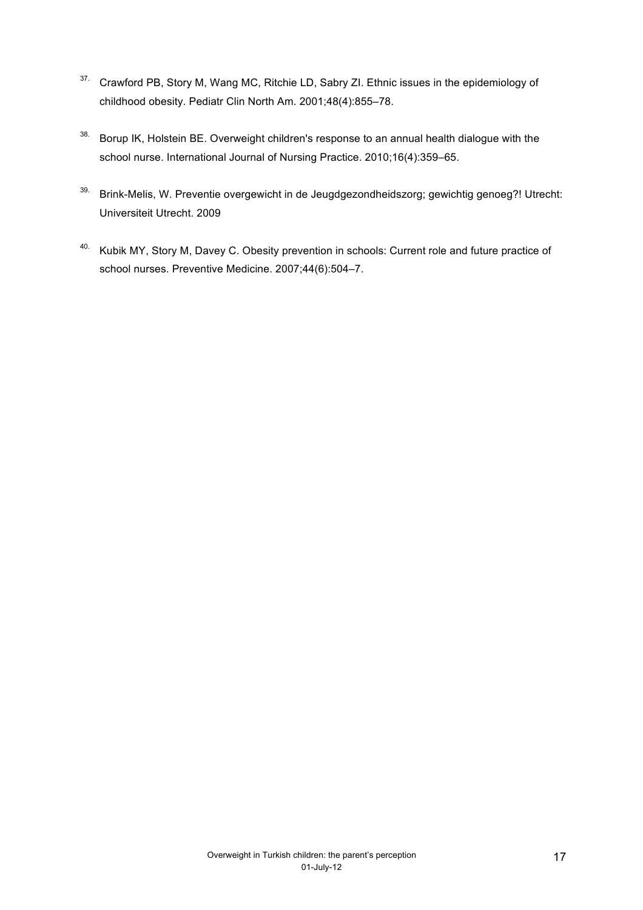- <sup>37.</sup> Crawford PB, Story M, Wang MC, Ritchie LD, Sabry ZI. Ethnic issues in the epidemiology of childhood obesity. Pediatr Clin North Am. 2001;48(4):855–78.
- <sup>38.</sup> Borup IK, Holstein BE. Overweight children's response to an annual health dialogue with the school nurse. International Journal of Nursing Practice. 2010;16(4):359–65.
- <sup>39.</sup> Brink-Melis, W. Preventie overgewicht in de Jeugdgezondheidszorg; gewichtig genoeg?! Utrecht: Universiteit Utrecht. 2009
- 40. Kubik MY, Story M, Davey C. Obesity prevention in schools: Current role and future practice of school nurses. Preventive Medicine. 2007;44(6):504–7.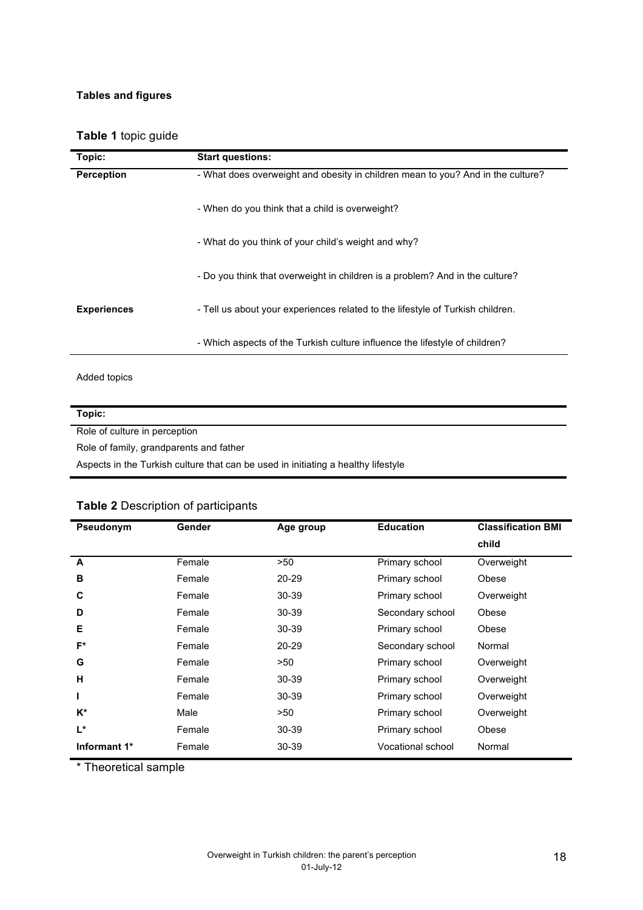#### **Tables and figures**

# **Table 1** topic guide

| Topic:             | <b>Start questions:</b>                                                         |
|--------------------|---------------------------------------------------------------------------------|
| <b>Perception</b>  | - What does overweight and obesity in children mean to you? And in the culture? |
|                    | - When do you think that a child is overweight?                                 |
|                    | - What do you think of your child's weight and why?                             |
|                    | - Do you think that overweight in children is a problem? And in the culture?    |
| <b>Experiences</b> | - Tell us about your experiences related to the lifestyle of Turkish children.  |
|                    | - Which aspects of the Turkish culture influence the lifestyle of children?     |
|                    |                                                                                 |

Added topics

# **Topic:** Role of culture in perception Role of family, grandparents and father Aspects in the Turkish culture that can be used in initiating a healthy lifestyle

# **Table 2** Description of participants

| Pseudonym    | Gender | Age group | <b>Education</b>  | <b>Classification BMI</b> |
|--------------|--------|-----------|-------------------|---------------------------|
|              |        |           |                   | child                     |
| A            | Female | >50       | Primary school    | Overweight                |
| в            | Female | 20-29     | Primary school    | Obese                     |
| C            | Female | 30-39     | Primary school    | Overweight                |
| D            | Female | 30-39     | Secondary school  | Obese                     |
| Е            | Female | 30-39     | Primary school    | Obese                     |
| F*           | Female | 20-29     | Secondary school  | Normal                    |
| G            | Female | >50       | Primary school    | Overweight                |
| н            | Female | 30-39     | Primary school    | Overweight                |
| п            | Female | 30-39     | Primary school    | Overweight                |
| K*           | Male   | >50       | Primary school    | Overweight                |
| L*           | Female | 30-39     | Primary school    | Obese                     |
| Informant 1* | Female | 30-39     | Vocational school | Normal                    |

\* Theoretical sample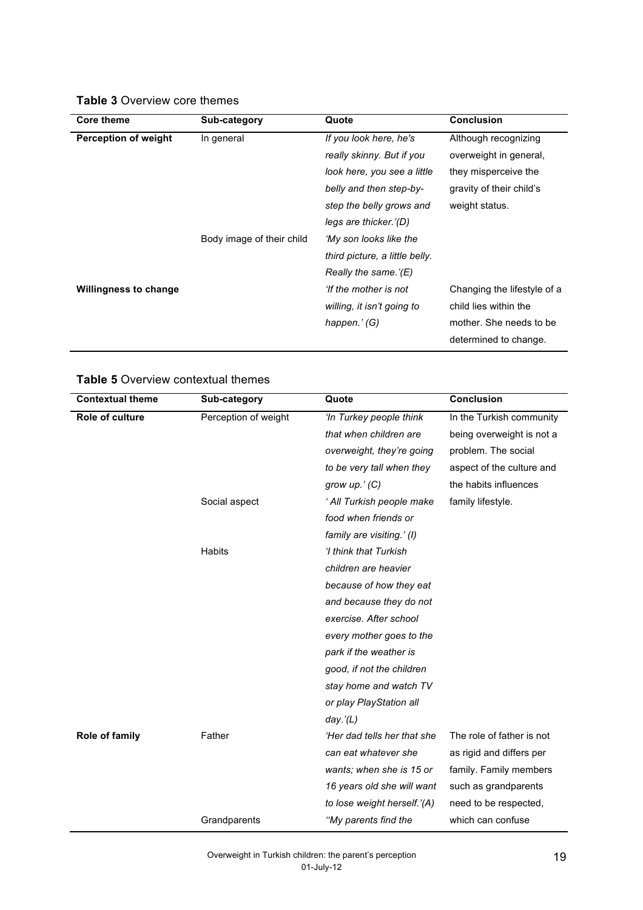#### **Table 3** Overview core themes

| <b>Core theme</b>            | Sub-category              | Quote                          | <b>Conclusion</b>           |
|------------------------------|---------------------------|--------------------------------|-----------------------------|
| <b>Perception of weight</b>  | In general                | If you look here, he's         | Although recognizing        |
|                              |                           | really skinny. But if you      | overweight in general,      |
|                              |                           | look here, you see a little    | they misperceive the        |
|                              |                           | belly and then step-by-        | gravity of their child's    |
|                              |                           | step the belly grows and       | weight status.              |
|                              |                           | legs are thicker.'(D)          |                             |
|                              | Body image of their child | 'My son looks like the         |                             |
|                              |                           | third picture, a little belly. |                             |
|                              |                           | Really the same.'(E)           |                             |
| <b>Willingness to change</b> |                           | 'If the mother is not          | Changing the lifestyle of a |
|                              |                           | willing, it isn't going to     | child lies within the       |
|                              |                           | happen.'(G)                    | mother. She needs to be     |
|                              |                           |                                | determined to change.       |

# **Table 5** Overview contextual themes

| <b>Contextual theme</b> | Sub-category         | Quote                       | Conclusion                |
|-------------------------|----------------------|-----------------------------|---------------------------|
| Role of culture         | Perception of weight | 'In Turkey people think     | In the Turkish community  |
|                         |                      | that when children are      | being overweight is not a |
|                         |                      | overweight, they're going   | problem. The social       |
|                         |                      | to be very tall when they   | aspect of the culture and |
|                         |                      | grow up.' (C)               | the habits influences     |
|                         | Social aspect        | ' All Turkish people make   | family lifestyle.         |
|                         |                      | food when friends or        |                           |
|                         |                      | family are visiting.' (I)   |                           |
|                         | <b>Habits</b>        | 'I think that Turkish       |                           |
|                         |                      | children are heavier        |                           |
|                         |                      | because of how they eat     |                           |
|                         |                      | and because they do not     |                           |
|                         |                      | exercise. After school      |                           |
|                         |                      | every mother goes to the    |                           |
|                         |                      | park if the weather is      |                           |
|                         |                      | good, if not the children   |                           |
|                         |                      | stay home and watch TV      |                           |
|                         |                      | or play PlayStation all     |                           |
|                         |                      | day.'(L)                    |                           |
| Role of family          | Father               | 'Her dad tells her that she | The role of father is not |
|                         |                      | can eat whatever she        | as rigid and differs per  |
|                         |                      | wants; when she is 15 or    | family. Family members    |
|                         |                      | 16 years old she will want  | such as grandparents      |
|                         |                      | to lose weight herself.'(A) | need to be respected,     |
|                         | Grandparents         | "My parents find the        | which can confuse         |